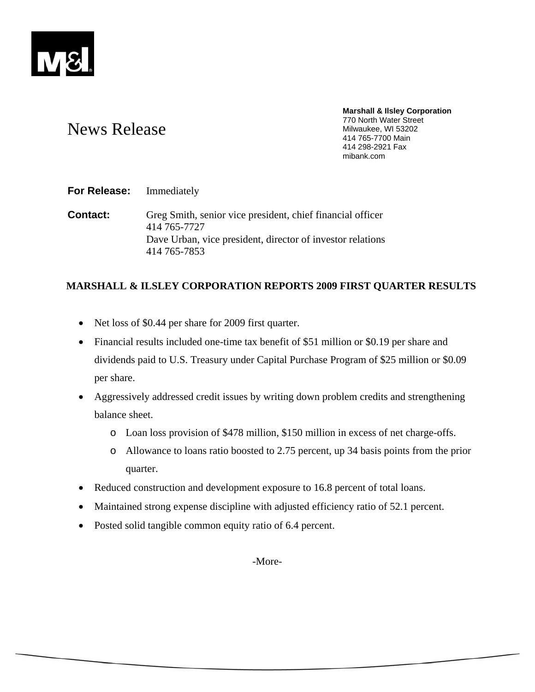

# News Release

**Marshall & Ilsley Corporation**  770 North Water Street Milwaukee, WI 53202 414 765-7700 Main 414 298-2921 Fax mibank.com

# **For Release:** Immediately

**Contact:** Greg Smith, senior vice president, chief financial officer 414 765-7727 Dave Urban, vice president, director of investor relations 414 765-7853

# **MARSHALL & ILSLEY CORPORATION REPORTS 2009 FIRST QUARTER RESULTS**

- Net loss of \$0.44 per share for 2009 first quarter.
- Financial results included one-time tax benefit of \$51 million or \$0.19 per share and dividends paid to U.S. Treasury under Capital Purchase Program of \$25 million or \$0.09 per share.
- Aggressively addressed credit issues by writing down problem credits and strengthening balance sheet.
	- o Loan loss provision of \$478 million, \$150 million in excess of net charge-offs.
	- o Allowance to loans ratio boosted to 2.75 percent, up 34 basis points from the prior quarter.
- Reduced construction and development exposure to 16.8 percent of total loans.
- Maintained strong expense discipline with adjusted efficiency ratio of 52.1 percent.
- Posted solid tangible common equity ratio of 6.4 percent.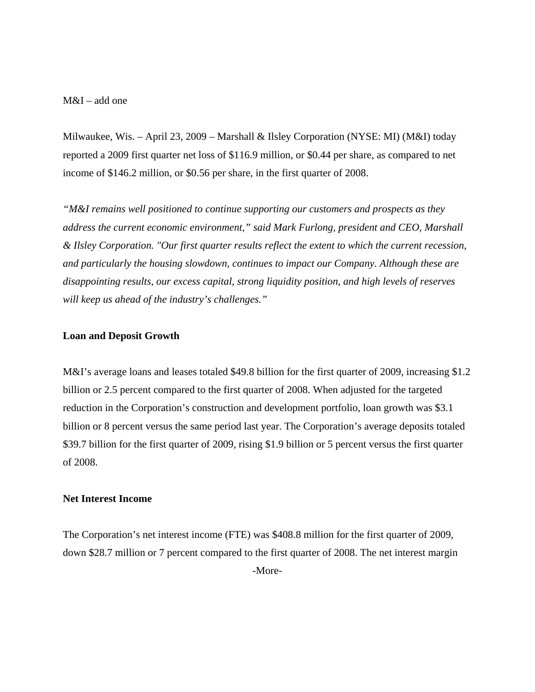M&I – add one

Milwaukee, Wis. – April 23, 2009 – Marshall & Ilsley Corporation (NYSE: MI) (M&I) today reported a 2009 first quarter net loss of \$116.9 million, or \$0.44 per share, as compared to net income of \$146.2 million, or \$0.56 per share, in the first quarter of 2008.

*"M&I remains well positioned to continue supporting our customers and prospects as they address the current economic environment," said Mark Furlong, president and CEO, Marshall & Ilsley Corporation. "Our first quarter results reflect the extent to which the current recession, and particularly the housing slowdown, continues to impact our Company. Although these are disappointing results, our excess capital, strong liquidity position, and high levels of reserves will keep us ahead of the industry's challenges."* 

#### **Loan and Deposit Growth**

M&I's average loans and leases totaled \$49.8 billion for the first quarter of 2009, increasing \$1.2 billion or 2.5 percent compared to the first quarter of 2008. When adjusted for the targeted reduction in the Corporation's construction and development portfolio, loan growth was \$3.1 billion or 8 percent versus the same period last year. The Corporation's average deposits totaled \$39.7 billion for the first quarter of 2009, rising \$1.9 billion or 5 percent versus the first quarter of 2008.

#### **Net Interest Income**

The Corporation's net interest income (FTE) was \$408.8 million for the first quarter of 2009, down \$28.7 million or 7 percent compared to the first quarter of 2008. The net interest margin -More-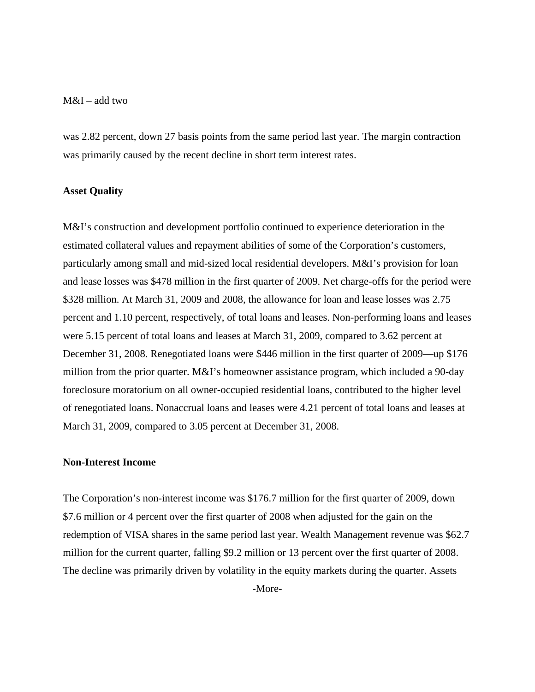# M&I – add two

was 2.82 percent, down 27 basis points from the same period last year. The margin contraction was primarily caused by the recent decline in short term interest rates.

#### **Asset Quality**

M&I's construction and development portfolio continued to experience deterioration in the estimated collateral values and repayment abilities of some of the Corporation's customers, particularly among small and mid-sized local residential developers. M&I's provision for loan and lease losses was \$478 million in the first quarter of 2009. Net charge-offs for the period were \$328 million. At March 31, 2009 and 2008, the allowance for loan and lease losses was 2.75 percent and 1.10 percent, respectively, of total loans and leases. Non-performing loans and leases were 5.15 percent of total loans and leases at March 31, 2009, compared to 3.62 percent at December 31, 2008. Renegotiated loans were \$446 million in the first quarter of 2009—up \$176 million from the prior quarter. M&I's homeowner assistance program, which included a 90-day foreclosure moratorium on all owner-occupied residential loans, contributed to the higher level of renegotiated loans. Nonaccrual loans and leases were 4.21 percent of total loans and leases at March 31, 2009, compared to 3.05 percent at December 31, 2008.

### **Non-Interest Income**

The Corporation's non-interest income was \$176.7 million for the first quarter of 2009, down \$7.6 million or 4 percent over the first quarter of 2008 when adjusted for the gain on the redemption of VISA shares in the same period last year. Wealth Management revenue was \$62.7 million for the current quarter, falling \$9.2 million or 13 percent over the first quarter of 2008. The decline was primarily driven by volatility in the equity markets during the quarter. Assets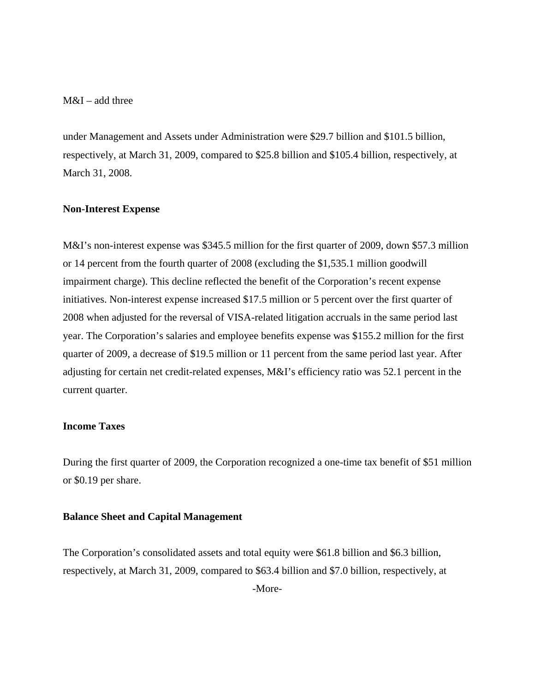# M&I – add three

under Management and Assets under Administration were \$29.7 billion and \$101.5 billion, respectively, at March 31, 2009, compared to \$25.8 billion and \$105.4 billion, respectively, at March 31, 2008.

### **Non-Interest Expense**

M&I's non-interest expense was \$345.5 million for the first quarter of 2009, down \$57.3 million or 14 percent from the fourth quarter of 2008 (excluding the \$1,535.1 million goodwill impairment charge). This decline reflected the benefit of the Corporation's recent expense initiatives. Non-interest expense increased \$17.5 million or 5 percent over the first quarter of 2008 when adjusted for the reversal of VISA-related litigation accruals in the same period last year. The Corporation's salaries and employee benefits expense was \$155.2 million for the first quarter of 2009, a decrease of \$19.5 million or 11 percent from the same period last year. After adjusting for certain net credit-related expenses, M&I's efficiency ratio was 52.1 percent in the current quarter.

# **Income Taxes**

During the first quarter of 2009, the Corporation recognized a one-time tax benefit of \$51 million or \$0.19 per share.

### **Balance Sheet and Capital Management**

The Corporation's consolidated assets and total equity were \$61.8 billion and \$6.3 billion, respectively, at March 31, 2009, compared to \$63.4 billion and \$7.0 billion, respectively, at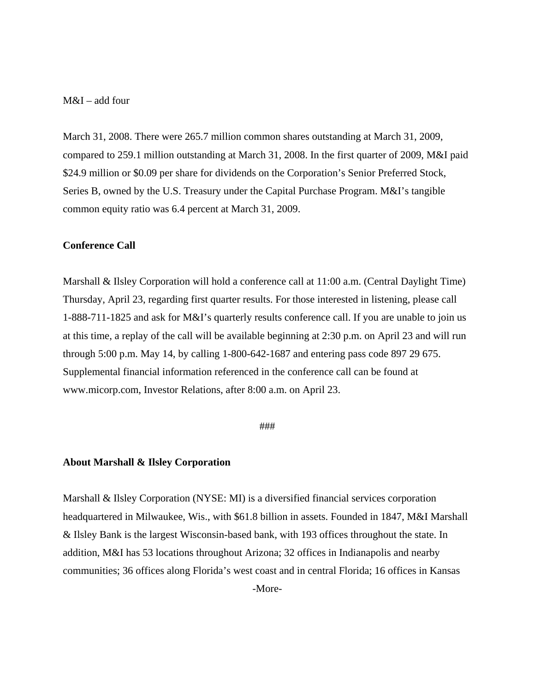# M&I – add four

March 31, 2008. There were 265.7 million common shares outstanding at March 31, 2009, compared to 259.1 million outstanding at March 31, 2008. In the first quarter of 2009, M&I paid \$24.9 million or \$0.09 per share for dividends on the Corporation's Senior Preferred Stock, Series B, owned by the U.S. Treasury under the Capital Purchase Program. M&I's tangible common equity ratio was 6.4 percent at March 31, 2009.

# **Conference Call**

Marshall & Ilsley Corporation will hold a conference call at 11:00 a.m. (Central Daylight Time) Thursday, April 23, regarding first quarter results. For those interested in listening, please call 1-888-711-1825 and ask for M&I's quarterly results conference call. If you are unable to join us at this time, a replay of the call will be available beginning at 2:30 p.m. on April 23 and will run through 5:00 p.m. May 14, by calling 1-800-642-1687 and entering pass code 897 29 675. Supplemental financial information referenced in the conference call can be found at www.micorp.com, Investor Relations, after 8:00 a.m. on April 23.

#### ###

#### **About Marshall & Ilsley Corporation**

Marshall & Ilsley Corporation (NYSE: MI) is a diversified financial services corporation headquartered in Milwaukee, Wis., with \$61.8 billion in assets. Founded in 1847, M&I Marshall & Ilsley Bank is the largest Wisconsin-based bank, with 193 offices throughout the state. In addition, M&I has 53 locations throughout Arizona; 32 offices in Indianapolis and nearby communities; 36 offices along Florida's west coast and in central Florida; 16 offices in Kansas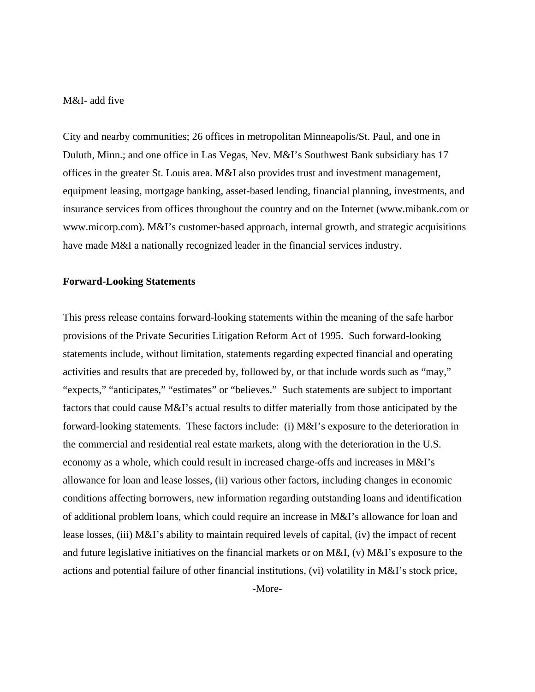# M&I- add five

City and nearby communities; 26 offices in metropolitan Minneapolis/St. Paul, and one in Duluth, Minn.; and one office in Las Vegas, Nev. M&I's Southwest Bank subsidiary has 17 offices in the greater St. Louis area. M&I also provides trust and investment management, equipment leasing, mortgage banking, asset-based lending, financial planning, investments, and insurance services from offices throughout the country and on the Internet (www.mibank.com or www.micorp.com). M&I's customer-based approach, internal growth, and strategic acquisitions have made M&I a nationally recognized leader in the financial services industry.

#### **Forward-Looking Statements**

This press release contains forward-looking statements within the meaning of the safe harbor provisions of the Private Securities Litigation Reform Act of 1995. Such forward-looking statements include, without limitation, statements regarding expected financial and operating activities and results that are preceded by, followed by, or that include words such as "may," "expects," "anticipates," "estimates" or "believes." Such statements are subject to important factors that could cause M&I's actual results to differ materially from those anticipated by the forward-looking statements. These factors include: (i) M&I's exposure to the deterioration in the commercial and residential real estate markets, along with the deterioration in the U.S. economy as a whole, which could result in increased charge-offs and increases in M&I's allowance for loan and lease losses, (ii) various other factors, including changes in economic conditions affecting borrowers, new information regarding outstanding loans and identification of additional problem loans, which could require an increase in M&I's allowance for loan and lease losses, (iii) M&I's ability to maintain required levels of capital, (iv) the impact of recent and future legislative initiatives on the financial markets or on M&I, (v) M&I's exposure to the actions and potential failure of other financial institutions, (vi) volatility in M&I's stock price,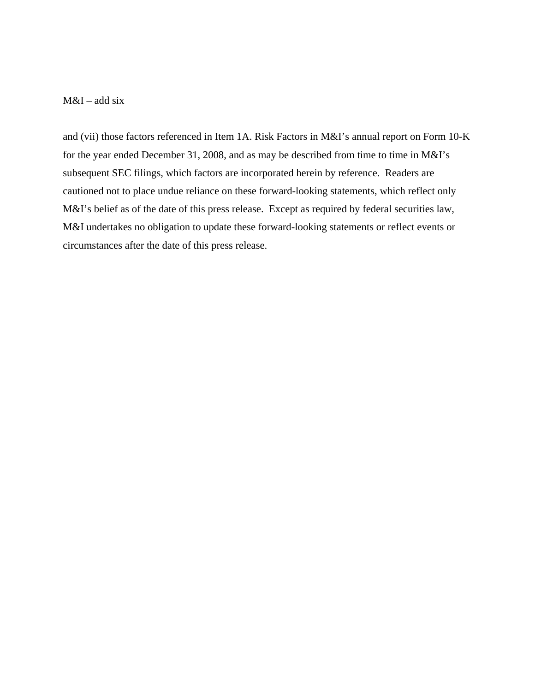# M&I – add six

and (vii) those factors referenced in Item 1A. Risk Factors in M&I's annual report on Form 10-K for the year ended December 31, 2008, and as may be described from time to time in M&I's subsequent SEC filings, which factors are incorporated herein by reference. Readers are cautioned not to place undue reliance on these forward-looking statements, which reflect only M&I's belief as of the date of this press release. Except as required by federal securities law, M&I undertakes no obligation to update these forward-looking statements or reflect events or circumstances after the date of this press release.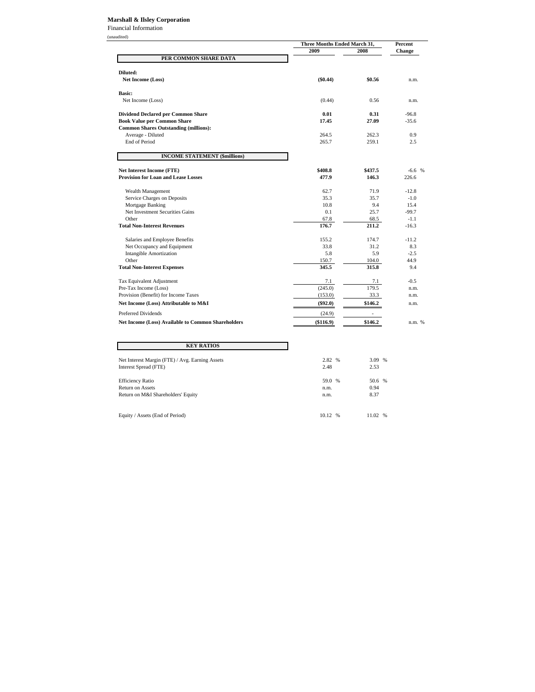#### **Marshall & Ilsley Corporation**

Financial Information

(unaudited)

| китеа ј                                                   | Three Months Ended March 31, | Percent |               |  |
|-----------------------------------------------------------|------------------------------|---------|---------------|--|
|                                                           | 2009                         | 2008    | <b>Change</b> |  |
| PER COMMON SHARE DATA                                     |                              |         |               |  |
|                                                           |                              |         |               |  |
| Diluted:                                                  |                              |         |               |  |
| Net Income (Loss)                                         | $(\$0.44)$                   | \$0.56  | n.m.          |  |
| <b>Basic:</b>                                             |                              |         |               |  |
| Net Income (Loss)                                         | (0.44)                       | 0.56    | n.m.          |  |
| <b>Dividend Declared per Common Share</b>                 | 0.01                         | 0.31    | $-96.8$       |  |
| <b>Book Value per Common Share</b>                        | 17.45                        | 27.09   | $-35.6$       |  |
| <b>Common Shares Outstanding (millions):</b>              |                              |         |               |  |
| Average - Diluted                                         | 264.5                        | 262.3   | 0.9           |  |
| <b>End of Period</b>                                      | 265.7                        | 259.1   | 2.5           |  |
| <b>INCOME STATEMENT (\$millions)</b>                      |                              |         |               |  |
| <b>Net Interest Income (FTE)</b>                          | \$408.8                      | \$437.5 | $-6.6$ %      |  |
| <b>Provision for Loan and Lease Losses</b>                | 477.9                        | 146.3   | 226.6         |  |
|                                                           |                              |         |               |  |
| Wealth Management                                         | 62.7                         | 71.9    | $-12.8$       |  |
| Service Charges on Deposits                               | 35.3                         | 35.7    | $-1.0$        |  |
| Mortgage Banking                                          | 10.8                         | 9.4     | 15.4          |  |
| Net Investment Securities Gains                           | 0.1                          | 25.7    | $-99.7$       |  |
| Other                                                     | 67.8                         | 68.5    | $-1.1$        |  |
| <b>Total Non-Interest Revenues</b>                        | 176.7                        | 211.2   | $-16.3$       |  |
| Salaries and Employee Benefits                            | 155.2                        | 174.7   | $-11.2$       |  |
| Net Occupancy and Equipment                               | 33.8                         | 31.2    | 8.3           |  |
| <b>Intangible Amortization</b>                            | 5.8                          | 5.9     | $-2.5$        |  |
| Other                                                     | 150.7                        | 104.0   | 44.9          |  |
| <b>Total Non-Interest Expenses</b>                        | 345.5                        | 315.8   | 9.4           |  |
| Tax Equivalent Adjustment                                 | 7.1                          | 7.1     | $-0.5$        |  |
| Pre-Tax Income (Loss)                                     | (245.0)                      | 179.5   | n.m.          |  |
| Provision (Benefit) for Income Taxes                      | (153.0)                      | 33.3    | n.m.          |  |
| Net Income (Loss) Attributable to M&I                     | $(\$92.0)$                   | \$146.2 | n.m.          |  |
| <b>Preferred Dividends</b>                                | (24.9)                       |         |               |  |
| <b>Net Income (Loss) Available to Common Shareholders</b> | $(\$116.9)$                  | \$146.2 | n.m. %        |  |
|                                                           |                              |         |               |  |
| <b>KEY RATIOS</b>                                         |                              |         |               |  |
| Net Interest Margin (FTE) / Avg. Earning Assets           | 2.82 %                       | 3.09 %  |               |  |
| Interest Spread (FTE)                                     | 2.48                         | 2.53    |               |  |
| <b>Efficiency Ratio</b>                                   | 59.0 %                       | 50.6 %  |               |  |
| Return on Assets                                          | n.m.                         | 0.94    |               |  |
| Return on M&I Shareholders' Equity                        | n.m.                         | 8.37    |               |  |

Equity / Assets (End of Period) 10.12 % 11.02 % 11.02 %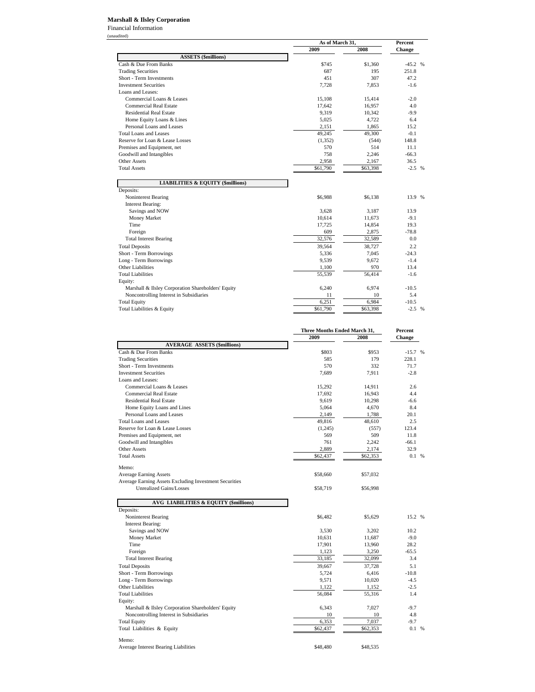#### **Marshall & Ilsley Corporation**

Financial Information (unaudited)

|                                                           | As of March 31, |          | Percent  |  |
|-----------------------------------------------------------|-----------------|----------|----------|--|
|                                                           | 2009            | 2008     | Change   |  |
| <b>ASSETS (\$millions)</b>                                |                 |          |          |  |
| Cash & Due From Banks                                     | \$745           | \$1,360  | $-45.2%$ |  |
| <b>Trading Securities</b>                                 | 687             | 195      | 251.8    |  |
| Short - Term Investments                                  | 451             | 307      | 47.2     |  |
| <b>Investment Securities</b>                              | 7,728           | 7,853    | $-1.6$   |  |
| Loans and Leases:                                         |                 |          |          |  |
| Commercial Loans & Leases                                 | 15,108          | 15,414   | $-2.0$   |  |
| <b>Commercial Real Estate</b>                             | 17,642          | 16,957   | 4.0      |  |
| <b>Residential Real Estate</b>                            | 9,319           | 10,342   | $-9.9$   |  |
| Home Equity Loans & Lines                                 | 5,025           | 4,722    | 6.4      |  |
| Personal Loans and Leases                                 | 2,151           | 1,865    | 15.2     |  |
| <b>Total Loans and Leases</b>                             | 49,245          | 49,300   | $-0.1$   |  |
| Reserve for Loan & Lease Losses                           | (1,352)         | (544)    | 148.8    |  |
| Premises and Equipment, net                               | 570             | 514      | 11.1     |  |
| Goodwill and Intangibles                                  | 758             | 2,246    | $-66.3$  |  |
| <b>Other Assets</b>                                       | 2,958           | 2,167    | 36.5     |  |
| <b>Total Assets</b>                                       | \$61,790        | \$63,398 | $-2.5$ % |  |
| <b>LIABILITIES &amp; EQUITY (\$millions)</b><br>Deposits: |                 |          |          |  |
| <b>Noninterest Bearing</b>                                | \$6,988         | \$6,138  | 13.9 %   |  |
| <b>Interest Bearing:</b>                                  |                 |          |          |  |
| Savings and NOW                                           | 3,628           | 3,187    | 13.9     |  |
| Money Market                                              | 10,614          | 11,673   | $-9.1$   |  |
| Time                                                      | 17,725          | 14,854   | 19.3     |  |
| Foreign                                                   | 609             | 2,875    | $-78.8$  |  |
| <b>Total Interest Bearing</b>                             | 32,576          | 32,589   | 0.0      |  |
| <b>Total Deposits</b>                                     | 39,564          | 38,727   | 2.2      |  |
| Short - Term Borrowings                                   | 5,336           | 7,045    | $-24.3$  |  |
| Long - Term Borrowings                                    | 9,539           | 9,672    | $-1.4$   |  |
| Other Liabilities                                         | 1,100           | 970      | 13.4     |  |
| <b>Total Liabilities</b>                                  | 55,539          | 56,414   | $-1.6$   |  |
| Equity:                                                   |                 |          |          |  |
| Marshall & Ilsley Corporation Shareholders' Equity        | 6,240           | 6,974    | $-10.5$  |  |
| Noncontrolling Interest in Subsidiaries                   | 11              | 10       | 5.4      |  |
| <b>Total Equity</b>                                       | 6,251           | 6,984    | $-10.5$  |  |
| Total Liabilities & Equity                                | \$61,790        | \$63,398 | $-2.5$ % |  |
|                                                           |                 |          |          |  |

|                                                                                         | Three Months Ended March 31, |          | Percent  |  |
|-----------------------------------------------------------------------------------------|------------------------------|----------|----------|--|
|                                                                                         | 2009                         | 2008     | Change   |  |
| <b>AVERAGE ASSETS (\$millions)</b>                                                      |                              |          |          |  |
| Cash & Due From Banks                                                                   | \$803                        | \$953    | $-15.7%$ |  |
| <b>Trading Securities</b>                                                               | 585                          | 179      | 228.1    |  |
| Short - Term Investments                                                                | 570                          | 332      | 71.7     |  |
| <b>Investment Securities</b>                                                            | 7.689                        | 7.911    | $-2.8$   |  |
| Loans and Leases:                                                                       |                              |          |          |  |
| Commercial Loans & Leases                                                               | 15,292                       | 14,911   | 2.6      |  |
| <b>Commercial Real Estate</b>                                                           | 17,692                       | 16,943   | 4.4      |  |
| <b>Residential Real Estate</b>                                                          | 9,619                        | 10,298   | -6.6     |  |
| Home Equity Loans and Lines                                                             | 5,064                        | 4,670    | 8.4      |  |
| Personal Loans and Leases                                                               | 2.149                        | 1,788    | 20.1     |  |
| <b>Total Loans and Leases</b>                                                           | 49,816                       | 48,610   | 2.5      |  |
| Reserve for Loan & Lease Losses                                                         | (1,245)                      | (557)    | 123.4    |  |
| Premises and Equipment, net                                                             | 569                          | 509      | 11.8     |  |
| Goodwill and Intangibles                                                                | 761                          | 2,242    | $-66.1$  |  |
| <b>Other Assets</b>                                                                     | 2,889                        | 2,174    | 32.9     |  |
| <b>Total Assets</b>                                                                     | \$62,437                     | \$62,353 | 0.1 %    |  |
|                                                                                         |                              |          |          |  |
| Memo:                                                                                   |                              |          |          |  |
| <b>Average Earning Assets</b><br>Average Earning Assets Excluding Investment Securities | \$58,660                     | \$57,032 |          |  |
| <b>Unrealized Gains/Losses</b>                                                          | \$58,719                     | \$56,998 |          |  |
|                                                                                         |                              |          |          |  |
| <b>AVG LIABILITIES &amp; EQUITY (\$millions)</b>                                        |                              |          |          |  |
| Deposits:                                                                               |                              |          |          |  |
| Noninterest Bearing                                                                     | \$6,482                      | \$5,629  | 15.2 %   |  |
| <b>Interest Bearing:</b>                                                                |                              |          |          |  |
| Savings and NOW                                                                         | 3,530                        | 3,202    | 10.2     |  |
| Money Market                                                                            | 10,631                       | 11,687   | $-9.0$   |  |
| Time                                                                                    | 17,901                       | 13,960   | 28.2     |  |
| Foreign                                                                                 | 1,123                        | 3,250    | $-65.5$  |  |
| <b>Total Interest Bearing</b>                                                           | 33,185                       | 32,099   | 3.4      |  |
| <b>Total Deposits</b>                                                                   | 39,667                       | 37,728   | 5.1      |  |
| Short - Term Borrowings                                                                 | 5,724                        | 6,416    | $-10.8$  |  |
| Long - Term Borrowings                                                                  | 9,571                        | 10,020   | $-4.5$   |  |
| Other Liabilities                                                                       | 1,122                        | 1,152    | $-2.5$   |  |
| <b>Total Liabilities</b>                                                                | 56,084                       | 55,316   | 1.4      |  |
|                                                                                         |                              |          |          |  |
| Equity:<br>Marshall & Ilsley Corporation Shareholders' Equity                           | 6,343                        | 7,027    | $-9.7$   |  |
| Noncontrolling Interest in Subsidiaries                                                 | 10                           | 10       | 4.8      |  |
| <b>Total Equity</b>                                                                     | 6,353                        | 7,037    | $-9.7$   |  |
|                                                                                         | \$62,437                     | \$62,353 | 0.1 %    |  |
| Total Liabilities & Equity                                                              |                              |          |          |  |
| Memo:                                                                                   |                              |          |          |  |
| <b>Average Interest Bearing Liabilities</b>                                             | \$48,480                     | \$48,535 |          |  |